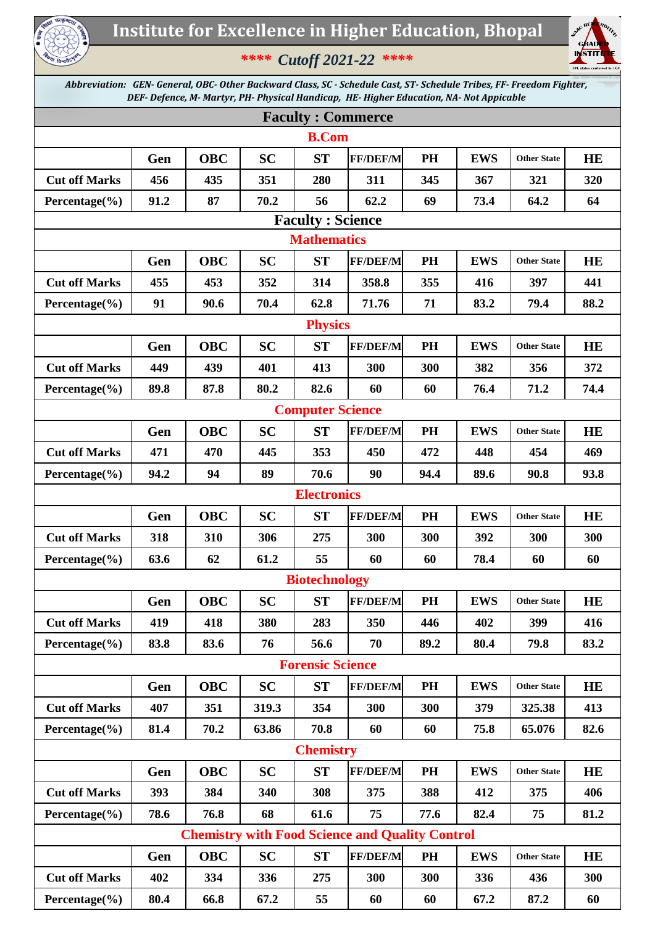

## *\*\*\*\* Cutoff 2021-22 \*\*\*\**



*Abbreviation: GEN- General, OBC- Other Backward Class, SC - Schedule Cast, ST- Schedule Tribes, FF- Freedom Fighter, DEF- Defence, M- Martyr, PH- Physical Handicap, HE- Higher Education, NA- Not Appicable*

| <b>Faculty: Commerce</b>                               |      |            |           |                         |                 |           |            |                    |           |  |  |
|--------------------------------------------------------|------|------------|-----------|-------------------------|-----------------|-----------|------------|--------------------|-----------|--|--|
| <b>B.Com</b>                                           |      |            |           |                         |                 |           |            |                    |           |  |  |
|                                                        | Gen  | <b>OBC</b> | <b>SC</b> | <b>ST</b>               | <b>FF/DEF/M</b> | <b>PH</b> | <b>EWS</b> | <b>Other State</b> | <b>HE</b> |  |  |
| <b>Cut off Marks</b>                                   | 456  | 435        | 351       | 280                     | 311             | 345       | 367        | 321                | 320       |  |  |
| Percentage $(\% )$                                     | 91.2 | 87         | 70.2      | 56                      | 62.2            | 69        | 73.4       | 64.2               | 64        |  |  |
| <b>Faculty: Science</b>                                |      |            |           |                         |                 |           |            |                    |           |  |  |
| <b>Mathematics</b>                                     |      |            |           |                         |                 |           |            |                    |           |  |  |
|                                                        | Gen  | <b>OBC</b> | <b>SC</b> | <b>ST</b>               | <b>FF/DEF/M</b> | <b>PH</b> | <b>EWS</b> | <b>Other State</b> | <b>HE</b> |  |  |
| <b>Cut off Marks</b>                                   | 455  | 453        | 352       | 314                     | 358.8           | 355       | 416        | 397                | 441       |  |  |
| Percentage $(\% )$                                     | 91   | 90.6       | 70.4      | 62.8                    | 71.76           | 71        | 83.2       | 79.4               | 88.2      |  |  |
| <b>Physics</b>                                         |      |            |           |                         |                 |           |            |                    |           |  |  |
|                                                        | Gen  | <b>OBC</b> | <b>SC</b> | <b>ST</b>               | <b>FF/DEF/M</b> | PH        | <b>EWS</b> | <b>Other State</b> | <b>HE</b> |  |  |
| <b>Cut off Marks</b>                                   | 449  | 439        | 401       | 413                     | 300             | 300       | 382        | 356                | 372       |  |  |
| Percentage $(\% )$                                     | 89.8 | 87.8       | 80.2      | 82.6                    | 60              | 60        | 76.4       | 71.2               | 74.4      |  |  |
| <b>Computer Science</b>                                |      |            |           |                         |                 |           |            |                    |           |  |  |
|                                                        | Gen  | <b>OBC</b> | <b>SC</b> | <b>ST</b>               | <b>FF/DEF/M</b> | <b>PH</b> | <b>EWS</b> | <b>Other State</b> | <b>HE</b> |  |  |
| <b>Cut off Marks</b>                                   | 471  | 470        | 445       | 353                     | 450             | 472       | 448        | 454                | 469       |  |  |
| Percentage $(\% )$                                     | 94.2 | 94         | 89        | 70.6                    | 90              | 94.4      | 89.6       | 90.8               | 93.8      |  |  |
| <b>Electronics</b>                                     |      |            |           |                         |                 |           |            |                    |           |  |  |
|                                                        | Gen  | <b>OBC</b> | <b>SC</b> | <b>ST</b>               | <b>FF/DEF/M</b> | PH        | <b>EWS</b> | <b>Other State</b> | <b>HE</b> |  |  |
| <b>Cut off Marks</b>                                   | 318  | 310        | 306       | 275                     | 300             | 300       | 392        | 300                | 300       |  |  |
| Percentage $(\% )$                                     | 63.6 | 62         | 61.2      | 55                      | 60              | 60        | 78.4       | 60                 | 60        |  |  |
| <b>Biotechnology</b>                                   |      |            |           |                         |                 |           |            |                    |           |  |  |
|                                                        | Gen  | <b>OBC</b> | <b>SC</b> | <b>ST</b>               | <b>FF/DEF/M</b> | PH        | <b>EWS</b> | <b>Other State</b> | HE        |  |  |
| <b>Cut off Marks</b>                                   | 419  | 418        | 380       | 283                     | 350             | 446       | 402        | 399                | 416       |  |  |
| Percentage $(\% )$                                     | 83.8 | 83.6       | 76        | 56.6                    | 70              | 89.2      | 80.4       | 79.8               | 83.2      |  |  |
|                                                        |      |            |           | <b>Forensic Science</b> |                 |           |            |                    |           |  |  |
|                                                        | Gen  | <b>OBC</b> | <b>SC</b> | <b>ST</b>               | <b>FF/DEF/M</b> | PH        | <b>EWS</b> | <b>Other State</b> | HE        |  |  |
| <b>Cut off Marks</b>                                   | 407  | 351        | 319.3     | 354                     | 300             | 300       | 379        | 325.38             | 413       |  |  |
| Percentage $(\% )$                                     | 81.4 | 70.2       | 63.86     | 70.8                    | 60              | 60        | 75.8       | 65.076             | 82.6      |  |  |
| <b>Chemistry</b>                                       |      |            |           |                         |                 |           |            |                    |           |  |  |
|                                                        | Gen  | <b>OBC</b> | <b>SC</b> | <b>ST</b>               | <b>FF/DEF/M</b> | PH        | <b>EWS</b> | <b>Other State</b> | HE        |  |  |
| <b>Cut off Marks</b>                                   | 393  | 384        | 340       | 308                     | 375             | 388       | 412        | 375                | 406       |  |  |
| Percentage $(\% )$                                     | 78.6 | 76.8       | 68        | 61.6                    | 75              | 77.6      | 82.4       | 75                 | 81.2      |  |  |
| <b>Chemistry with Food Science and Quality Control</b> |      |            |           |                         |                 |           |            |                    |           |  |  |
|                                                        | Gen  | <b>OBC</b> | <b>SC</b> | <b>ST</b>               | <b>FF/DEF/M</b> | PH        | <b>EWS</b> | <b>Other State</b> | HE        |  |  |
| <b>Cut off Marks</b>                                   | 402  | 334        | 336       | 275                     | 300             | 300       | 336        | 436                | 300       |  |  |
| Percentage $(\% )$                                     | 80.4 | 66.8       | 67.2      | 55                      | 60              | 60        | 67.2       | 87.2               | 60        |  |  |